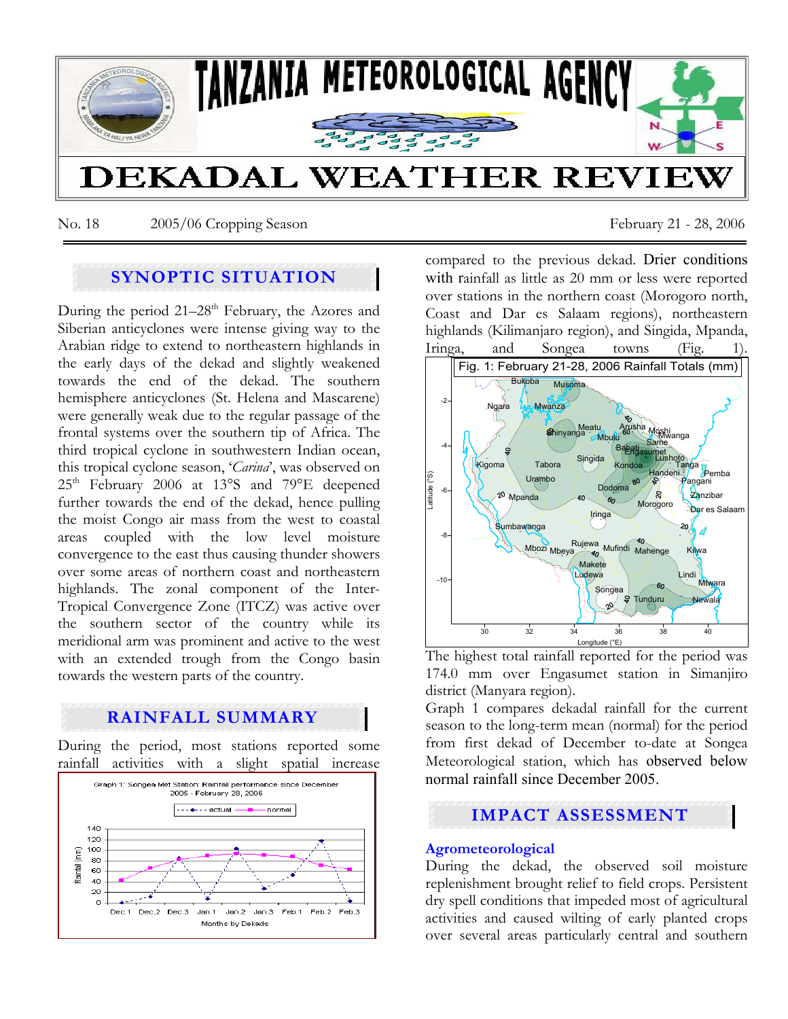

No. 18 2005/06 Cropping Season February 21 - 28, 2006

## **SYNOPTIC SITUATION**

During the period  $21-28$ <sup>th</sup> February, the Azores and Siberian anticyclones were intense giving way to the Arabian ridge to extend to northeastern highlands in the early days of the dekad and slightly weakened towards the end of the dekad. The southern hemisphere anticyclones (St. Helena and Mascarene) were generally weak due to the regular passage of the frontal systems over the southern tip of Africa. The third tropical cyclone in southwestern Indian ocean, this tropical cyclone season, '*Carina*', was observed on 25<sup>th</sup> February 2006 at 13°S and 79°E deepened further towards the end of the dekad, hence pulling the moist Congo air mass from the west to coastal areas coupled with the low level moisture convergence to the east thus causing thunder showers over some areas of northern coast and northeastern highlands. The zonal component of the Inter-Tropical Convergence Zone (ITCZ) was active over the southern sector of the country while its meridional arm was prominent and active to the west with an extended trough from the Congo basin towards the western parts of the country.

# **RAINFALL SUMMARY**

During the period, most stations reported some rainfall activities with a slight spatial increase



compared to the previous dekad. Drier conditions with rainfall as little as 20 mm or less were reported over stations in the northern coast (Morogoro north, Coast and Dar es Salaam regions), northeastern highlands (Kilimanjaro region), and Singida, Mpanda, Iringa, and Songea towns (Fig.



The highest total rainfall reported for the period was 174.0 mm over Engasumet station in Simanjiro district (Manyara region).

Graph 1 compares dekadal rainfall for the current season to the long-term mean (normal) for the period from first dekad of December to-date at Songea Meteorological station, which has observed below normal rainfall since December 2005.

## **IMPACT ASSESSMENT**

### **Agrometeorological**

During the dekad, the observed soil moisture replenishment brought relief to field crops. Persistent dry spell conditions that impeded most of agricultural activities and caused wilting of early planted crops over several areas particularly central and southern